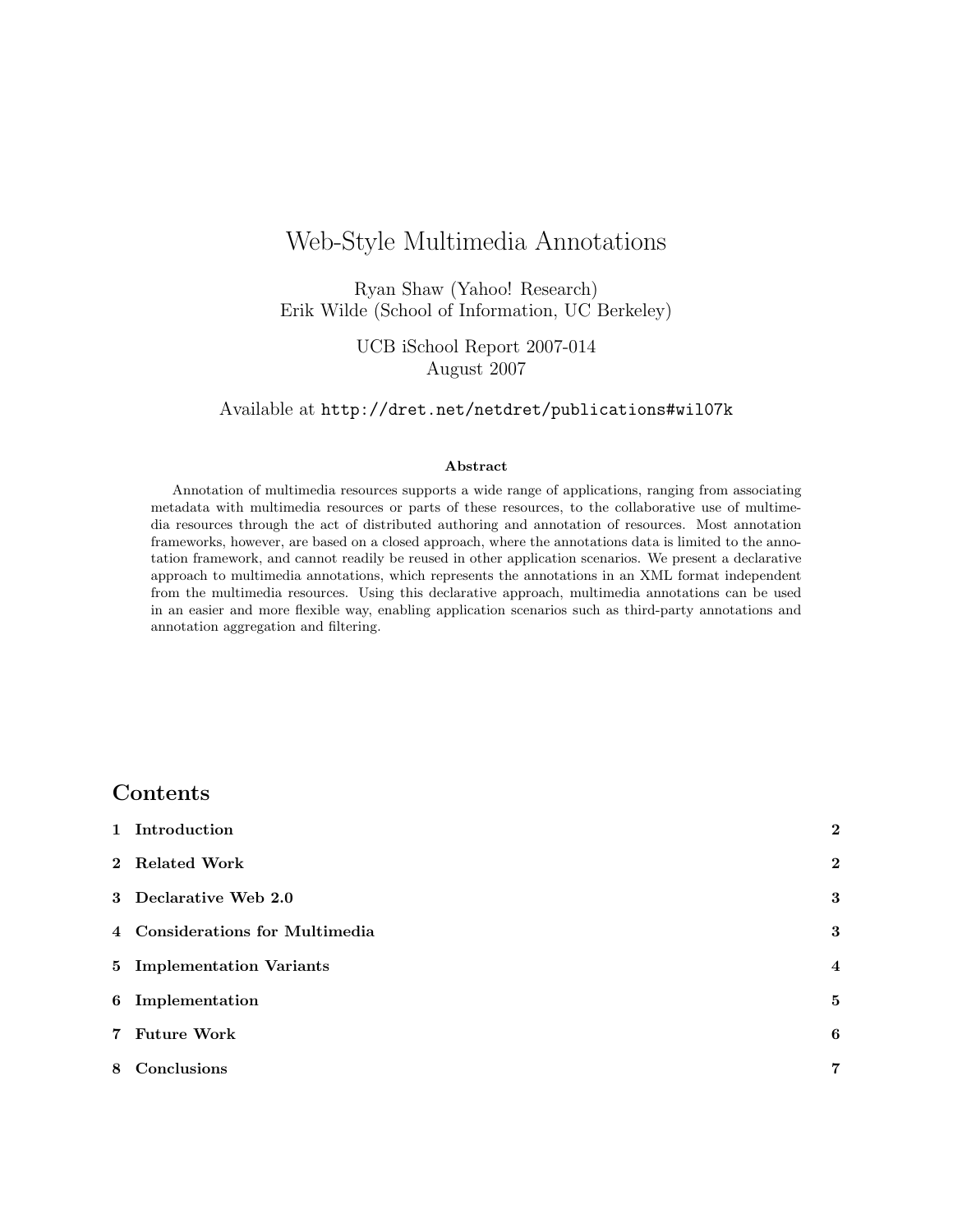# Web-Style Multimedia Annotations

Ryan Shaw [\(Yahoo! Research\)](http://research.yahoo.com/) Erik Wilde [\(School of Information, UC Berkeley\)](http://ischool.berkeley.edu/)

> UCB iSchool Report 2007-014 August 2007

Available at <http://dret.net/netdret/publications#wil07k>

#### Abstract

Annotation of multimedia resources supports a wide range of applications, ranging from associating metadata with multimedia resources or parts of these resources, to the collaborative use of multimedia resources through the act of distributed authoring and annotation of resources. Most annotation frameworks, however, are based on a closed approach, where the annotations data is limited to the annotation framework, and cannot readily be reused in other application scenarios. We present a declarative approach to multimedia annotations, which represents the annotations in an XML format independent from the multimedia resources. Using this declarative approach, multimedia annotations can be used in an easier and more flexible way, enabling application scenarios such as third-party annotations and annotation aggregation and filtering.

## Contents

| 1 Introduction                  | $\overline{2}$          |
|---------------------------------|-------------------------|
| 2 Related Work                  | $\bf{2}$                |
| 3 Declarative Web 2.0           | 3                       |
| 4 Considerations for Multimedia | 3                       |
| 5 Implementation Variants       | $\overline{\mathbf{4}}$ |
| 6 Implementation                | $\bf{5}$                |
| 7 Future Work                   | 6                       |
| 8 Conclusions                   | 7                       |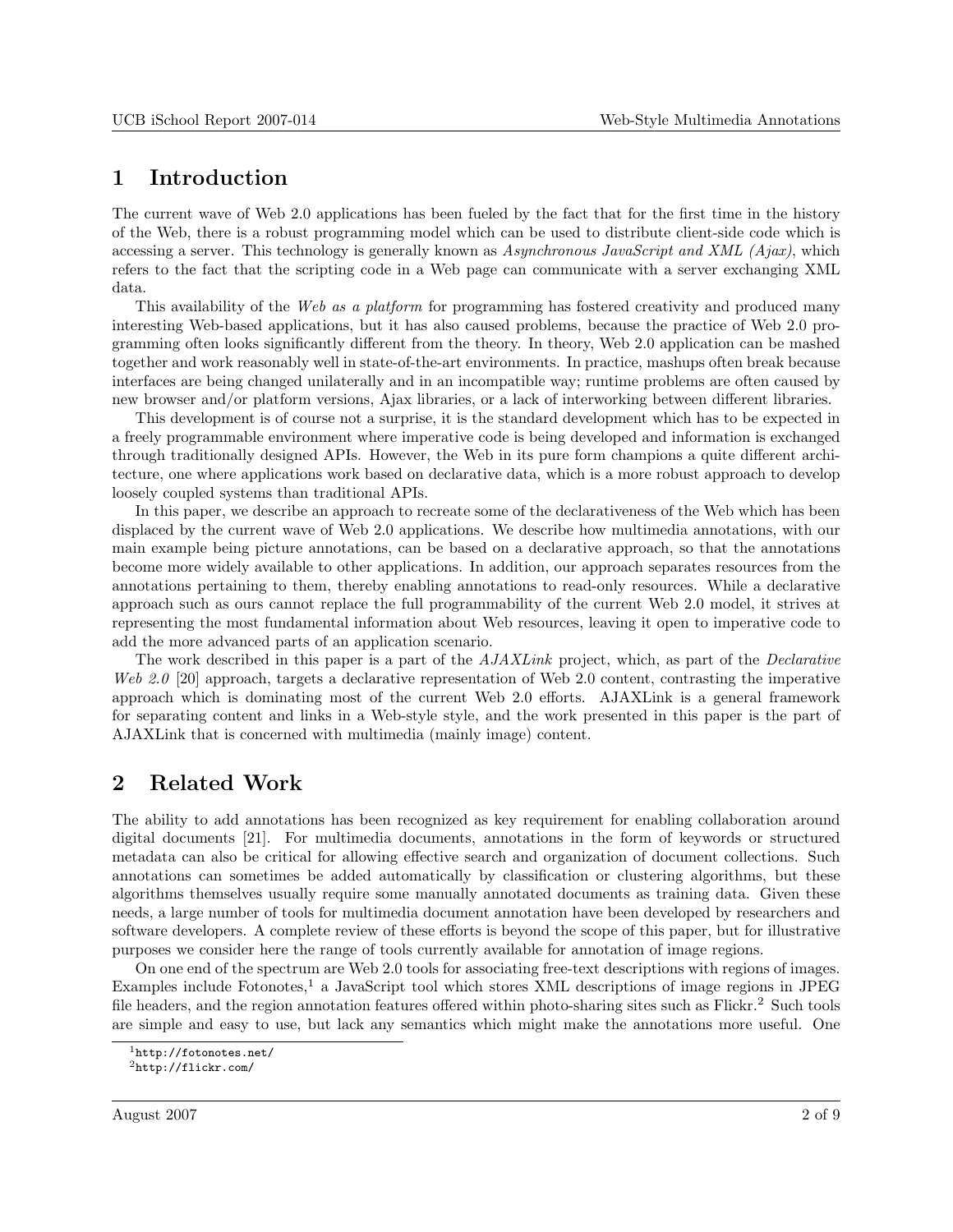## <span id="page-1-0"></span>1 Introduction

The current wave of Web 2.0 applications has been fueled by the fact that for the first time in the history of the Web, there is a robust programming model which can be used to distribute client-side code which is accessing a server. This technology is generally known as Asynchronous JavaScript and XML (Ajax), which refers to the fact that the scripting code in a Web page can communicate with a server exchanging XML data.

This availability of the Web as a platform for programming has fostered creativity and produced many interesting Web-based applications, but it has also caused problems, because the practice of Web 2.0 programming often looks significantly different from the theory. In theory, Web 2.0 application can be mashed together and work reasonably well in state-of-the-art environments. In practice, mashups often break because interfaces are being changed unilaterally and in an incompatible way; runtime problems are often caused by new browser and/or platform versions, Ajax libraries, or a lack of interworking between different libraries.

This development is of course not a surprise, it is the standard development which has to be expected in a freely programmable environment where imperative code is being developed and information is exchanged through traditionally designed APIs. However, the Web in its pure form champions a quite different architecture, one where applications work based on declarative data, which is a more robust approach to develop loosely coupled systems than traditional APIs.

In this paper, we describe an approach to recreate some of the declarativeness of the Web which has been displaced by the current wave of Web 2.0 applications. We describe how multimedia annotations, with our main example being picture annotations, can be based on a declarative approach, so that the annotations become more widely available to other applications. In addition, our approach separates resources from the annotations pertaining to them, thereby enabling annotations to read-only resources. While a declarative approach such as ours cannot replace the full programmability of the current Web 2.0 model, it strives at representing the most fundamental information about Web resources, leaving it open to imperative code to add the more advanced parts of an application scenario.

The work described in this paper is a part of the  $A JAXLink$  project, which, as part of the *Declarative* Web 2.0 [\[20\]](#page-8-0) approach, targets a declarative representation of Web 2.0 content, contrasting the imperative approach which is dominating most of the current Web 2.0 efforts. AJAXLink is a general framework for separating content and links in a Web-style style, and the work presented in this paper is the part of AJAXLink that is concerned with multimedia (mainly image) content.

# 2 Related Work

The ability to add annotations has been recognized as key requirement for enabling collaboration around digital documents [\[21\]](#page-8-0). For multimedia documents, annotations in the form of keywords or structured metadata can also be critical for allowing effective search and organization of document collections. Such annotations can sometimes be added automatically by classification or clustering algorithms, but these algorithms themselves usually require some manually annotated documents as training data. Given these needs, a large number of tools for multimedia document annotation have been developed by researchers and software developers. A complete review of these efforts is beyond the scope of this paper, but for illustrative purposes we consider here the range of tools currently available for annotation of image regions.

On one end of the spectrum are Web 2.0 tools for associating free-text descriptions with regions of images. Examples include Fotonotes,<sup>1</sup> a JavaScript tool which stores XML descriptions of image regions in JPEG file headers, and the region annotation features offered within photo-sharing sites such as Flickr.<sup>2</sup> Such tools are simple and easy to use, but lack any semantics which might make the annotations more useful. One

<sup>1</sup><http://fotonotes.net/>

 $^{2}$ <http://flickr.com/>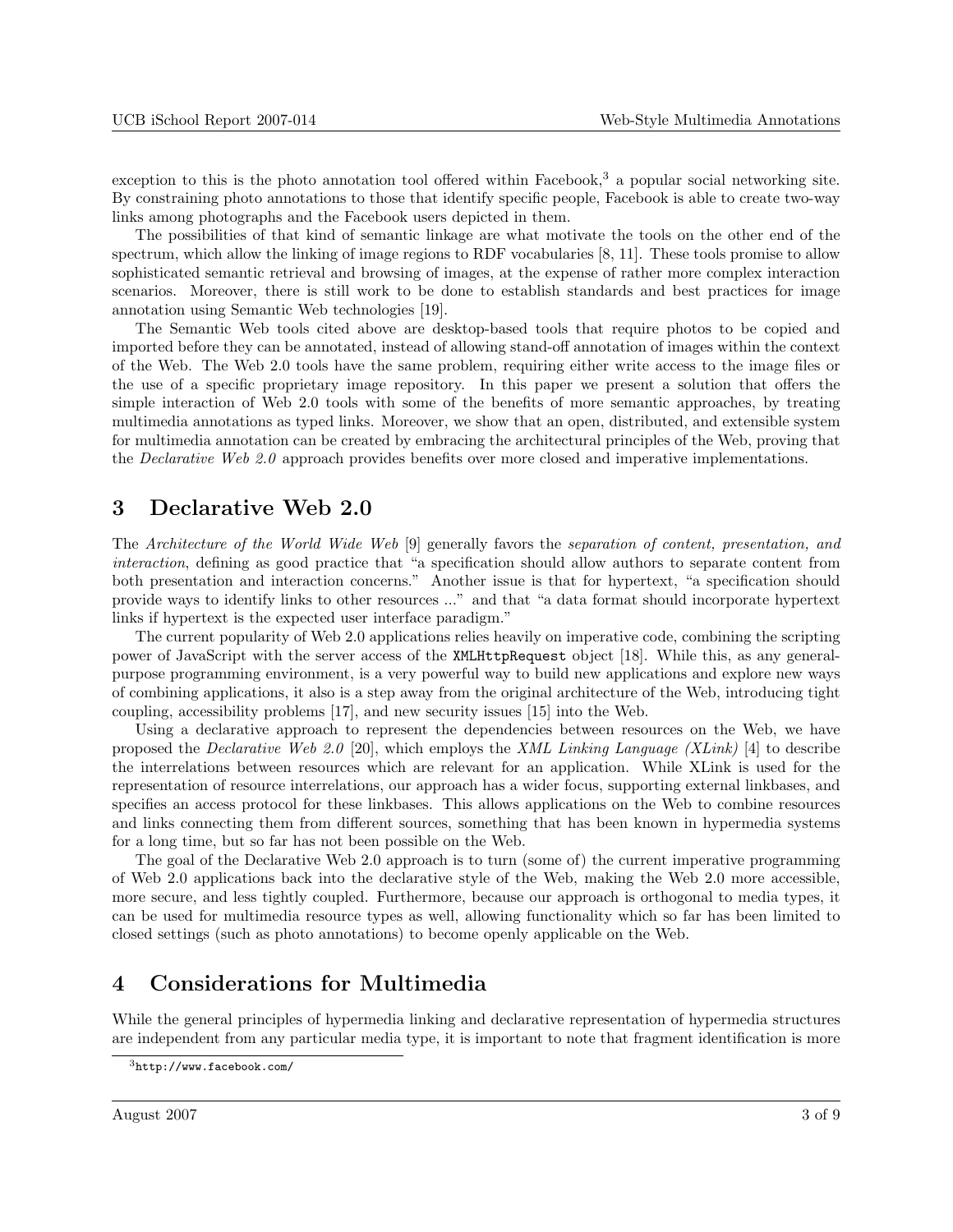<span id="page-2-0"></span>exception to this is the photo annotation tool offered within Facebook,<sup>3</sup> a popular social networking site. By constraining photo annotations to those that identify specific people, Facebook is able to create two-way links among photographs and the Facebook users depicted in them.

The possibilities of that kind of semantic linkage are what motivate the tools on the other end of the spectrum, which allow the linking of image regions to RDF vocabularies [\[8,](#page-7-0) [11\]](#page-7-0). These tools promise to allow sophisticated semantic retrieval and browsing of images, at the expense of rather more complex interaction scenarios. Moreover, there is still work to be done to establish standards and best practices for image annotation using Semantic Web technologies [\[19\]](#page-8-0).

The Semantic Web tools cited above are desktop-based tools that require photos to be copied and imported before they can be annotated, instead of allowing stand-off annotation of images within the context of the Web. The Web 2.0 tools have the same problem, requiring either write access to the image files or the use of a specific proprietary image repository. In this paper we present a solution that offers the simple interaction of Web 2.0 tools with some of the benefits of more semantic approaches, by treating multimedia annotations as typed links. Moreover, we show that an open, distributed, and extensible system for multimedia annotation can be created by embracing the architectural principles of the Web, proving that the Declarative Web 2.0 approach provides benefits over more closed and imperative implementations.

#### 3 Declarative Web 2.0

The Architecture of the World Wide Web [\[9\]](#page-7-0) generally favors the separation of content, presentation, and interaction, defining as good practice that "a specification should allow authors to separate content from both presentation and interaction concerns." Another issue is that for hypertext, "a specification should provide ways to identify links to other resources ..." and that "a data format should incorporate hypertext links if hypertext is the expected user interface paradigm."

The current popularity of Web 2.0 applications relies heavily on imperative code, combining the scripting power of JavaScript with the server access of the XMLHttpRequest object [\[18\]](#page-8-0). While this, as any generalpurpose programming environment, is a very powerful way to build new applications and explore new ways of combining applications, it also is a step away from the original architecture of the Web, introducing tight coupling, accessibility problems [\[17\]](#page-8-0), and new security issues [\[15\]](#page-7-0) into the Web.

Using a declarative approach to represent the dependencies between resources on the Web, we have proposed the Declarative Web 2.0 [\[20\]](#page-8-0), which employs the XML Linking Language (XLink) [\[4\]](#page-7-0) to describe the interrelations between resources which are relevant for an application. While XLink is used for the representation of resource interrelations, our approach has a wider focus, supporting external linkbases, and specifies an access protocol for these linkbases. This allows applications on the Web to combine resources and links connecting them from different sources, something that has been known in hypermedia systems for a long time, but so far has not been possible on the Web.

The goal of the Declarative Web 2.0 approach is to turn (some of) the current imperative programming of Web 2.0 applications back into the declarative style of the Web, making the Web 2.0 more accessible, more secure, and less tightly coupled. Furthermore, because our approach is orthogonal to media types, it can be used for multimedia resource types as well, allowing functionality which so far has been limited to closed settings (such as photo annotations) to become openly applicable on the Web.

## 4 Considerations for Multimedia

While the general principles of hypermedia linking and declarative representation of hypermedia structures are independent from any particular media type, it is important to note that fragment identification is more

 $3$ <http://www.facebook.com/>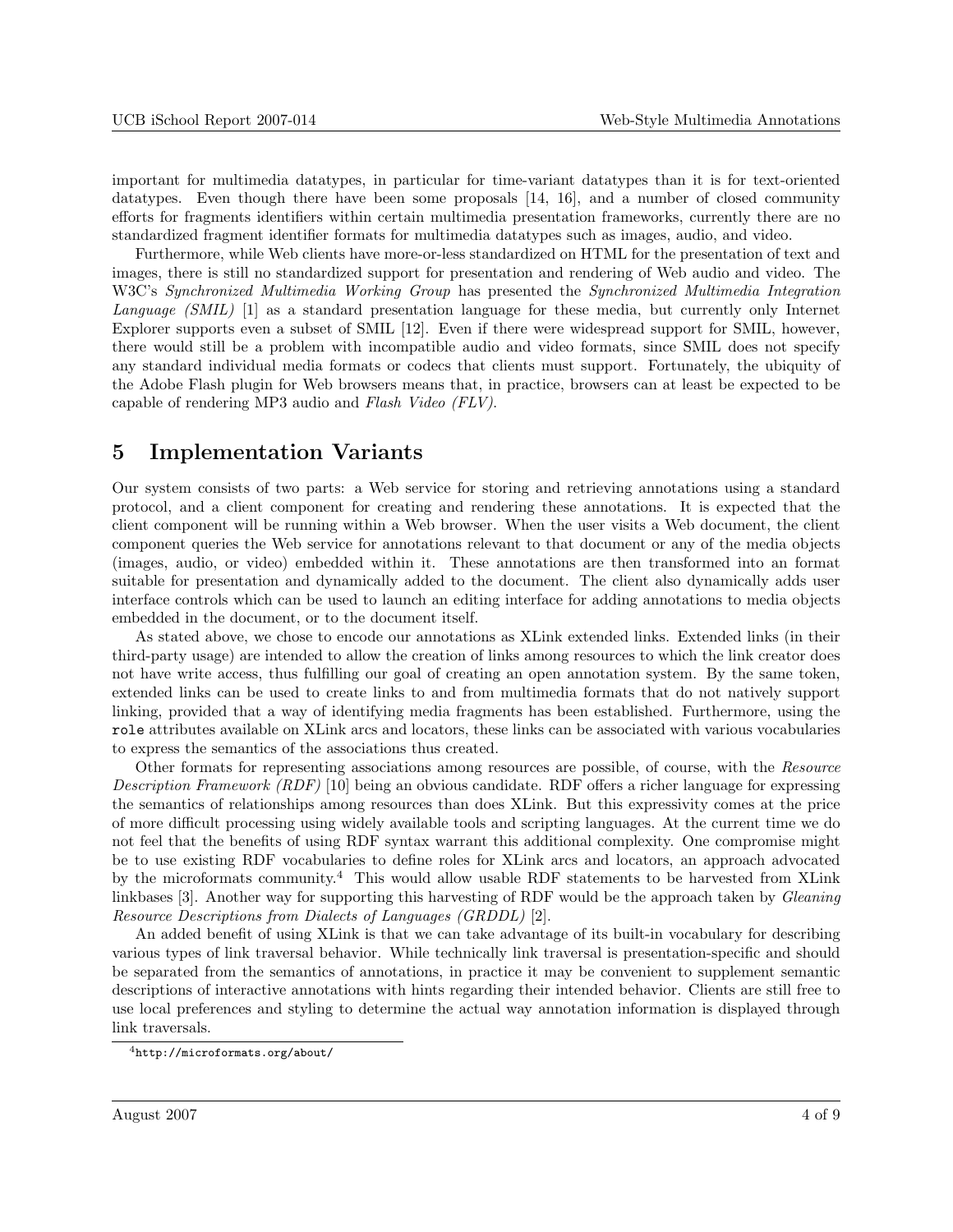<span id="page-3-0"></span>important for multimedia datatypes, in particular for time-variant datatypes than it is for text-oriented datatypes. Even though there have been some proposals [\[14,](#page-7-0) [16\]](#page-8-0), and a number of closed community efforts for fragments identifiers within certain multimedia presentation frameworks, currently there are no standardized fragment identifier formats for multimedia datatypes such as images, audio, and video.

Furthermore, while Web clients have more-or-less standardized on HTML for the presentation of text and images, there is still no standardized support for presentation and rendering of Web audio and video. The W3C's Synchronized Multimedia Working Group has presented the Synchronized Multimedia Integration Language (SMIL) [\[1\]](#page-7-0) as a standard presentation language for these media, but currently only Internet Explorer supports even a subset of SMIL [\[12\]](#page-7-0). Even if there were widespread support for SMIL, however, there would still be a problem with incompatible audio and video formats, since SMIL does not specify any standard individual media formats or codecs that clients must support. Fortunately, the ubiquity of the Adobe Flash plugin for Web browsers means that, in practice, browsers can at least be expected to be capable of rendering MP3 audio and Flash Video (FLV).

#### 5 Implementation Variants

Our system consists of two parts: a Web service for storing and retrieving annotations using a standard protocol, and a client component for creating and rendering these annotations. It is expected that the client component will be running within a Web browser. When the user visits a Web document, the client component queries the Web service for annotations relevant to that document or any of the media objects (images, audio, or video) embedded within it. These annotations are then transformed into an format suitable for presentation and dynamically added to the document. The client also dynamically adds user interface controls which can be used to launch an editing interface for adding annotations to media objects embedded in the document, or to the document itself.

As stated above, we chose to encode our annotations as XLink extended links. Extended links (in their third-party usage) are intended to allow the creation of links among resources to which the link creator does not have write access, thus fulfilling our goal of creating an open annotation system. By the same token, extended links can be used to create links to and from multimedia formats that do not natively support linking, provided that a way of identifying media fragments has been established. Furthermore, using the role attributes available on XLink arcs and locators, these links can be associated with various vocabularies to express the semantics of the associations thus created.

Other formats for representing associations among resources are possible, of course, with the Resource Description Framework (RDF) [\[10\]](#page-7-0) being an obvious candidate. RDF offers a richer language for expressing the semantics of relationships among resources than does XLink. But this expressivity comes at the price of more difficult processing using widely available tools and scripting languages. At the current time we do not feel that the benefits of using RDF syntax warrant this additional complexity. One compromise might be to use existing RDF vocabularies to define roles for XLink arcs and locators, an approach advocated by the microformats community.<sup>4</sup> This would allow usable RDF statements to be harvested from XLink linkbases [\[3\]](#page-7-0). Another way for supporting this harvesting of RDF would be the approach taken by Gleaning Resource Descriptions from Dialects of Languages (GRDDL) [\[2\]](#page-7-0).

An added benefit of using XLink is that we can take advantage of its built-in vocabulary for describing various types of link traversal behavior. While technically link traversal is presentation-specific and should be separated from the semantics of annotations, in practice it may be convenient to supplement semantic descriptions of interactive annotations with hints regarding their intended behavior. Clients are still free to use local preferences and styling to determine the actual way annotation information is displayed through link traversals.

<sup>4</sup><http://microformats.org/about/>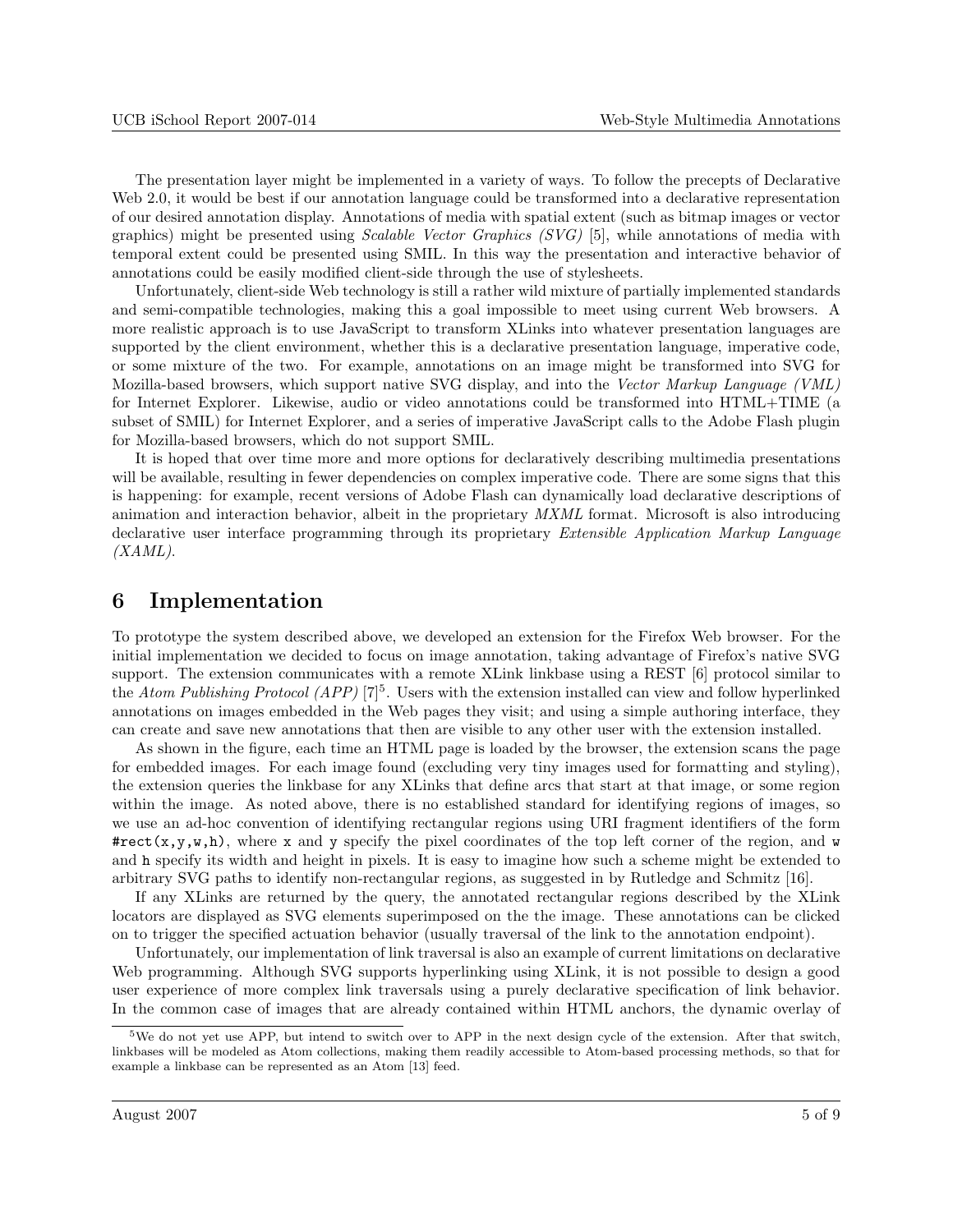<span id="page-4-0"></span>The presentation layer might be implemented in a variety of ways. To follow the precepts of Declarative Web 2.0, it would be best if our annotation language could be transformed into a declarative representation of our desired annotation display. Annotations of media with spatial extent (such as bitmap images or vector graphics) might be presented using *Scalable Vector Graphics (SVG)* [\[5\]](#page-7-0), while annotations of media with temporal extent could be presented using SMIL. In this way the presentation and interactive behavior of annotations could be easily modified client-side through the use of stylesheets.

Unfortunately, client-side Web technology is still a rather wild mixture of partially implemented standards and semi-compatible technologies, making this a goal impossible to meet using current Web browsers. A more realistic approach is to use JavaScript to transform XLinks into whatever presentation languages are supported by the client environment, whether this is a declarative presentation language, imperative code, or some mixture of the two. For example, annotations on an image might be transformed into SVG for Mozilla-based browsers, which support native SVG display, and into the Vector Markup Language (VML) for Internet Explorer. Likewise, audio or video annotations could be transformed into HTML+TIME (a subset of SMIL) for Internet Explorer, and a series of imperative JavaScript calls to the Adobe Flash plugin for Mozilla-based browsers, which do not support SMIL.

It is hoped that over time more and more options for declaratively describing multimedia presentations will be available, resulting in fewer dependencies on complex imperative code. There are some signs that this is happening: for example, recent versions of Adobe Flash can dynamically load declarative descriptions of animation and interaction behavior, albeit in the proprietary MXML format. Microsoft is also introducing declarative user interface programming through its proprietary Extensible Application Markup Language  $(XAML)$ .

#### 6 Implementation

To prototype the system described above, we developed an extension for the Firefox Web browser. For the initial implementation we decided to focus on image annotation, taking advantage of Firefox's native SVG support. The extension communicates with a remote XLink linkbase using a REST [\[6\]](#page-7-0) protocol similar to the Atom Publishing Protocol (APP)  $[7]^5$  $[7]^5$ . Users with the extension installed can view and follow hyperlinked annotations on images embedded in the Web pages they visit; and using a simple authoring interface, they can create and save new annotations that then are visible to any other user with the extension installed.

As shown in the figure, each time an HTML page is loaded by the browser, the extension scans the page for embedded images. For each image found (excluding very tiny images used for formatting and styling), the extension queries the linkbase for any XLinks that define arcs that start at that image, or some region within the image. As noted above, there is no established standard for identifying regions of images, so we use an ad-hoc convention of identifying rectangular regions using URI fragment identifiers of the form  $\texttt{#rect}(x,y,w,h)$ , where x and y specify the pixel coordinates of the top left corner of the region, and w and h specify its width and height in pixels. It is easy to imagine how such a scheme might be extended to arbitrary SVG paths to identify non-rectangular regions, as suggested in by Rutledge and Schmitz [\[16\]](#page-8-0).

If any XLinks are returned by the query, the annotated rectangular regions described by the XLink locators are displayed as SVG elements superimposed on the the image. These annotations can be clicked on to trigger the specified actuation behavior (usually traversal of the link to the annotation endpoint).

Unfortunately, our implementation of link traversal is also an example of current limitations on declarative Web programming. Although SVG supports hyperlinking using XLink, it is not possible to design a good user experience of more complex link traversals using a purely declarative specification of link behavior. In the common case of images that are already contained within HTML anchors, the dynamic overlay of

<sup>5</sup>We do not yet use APP, but intend to switch over to APP in the next design cycle of the extension. After that switch, linkbases will be modeled as Atom collections, making them readily accessible to Atom-based processing methods, so that for example a linkbase can be represented as an Atom [\[13\]](#page-7-0) feed.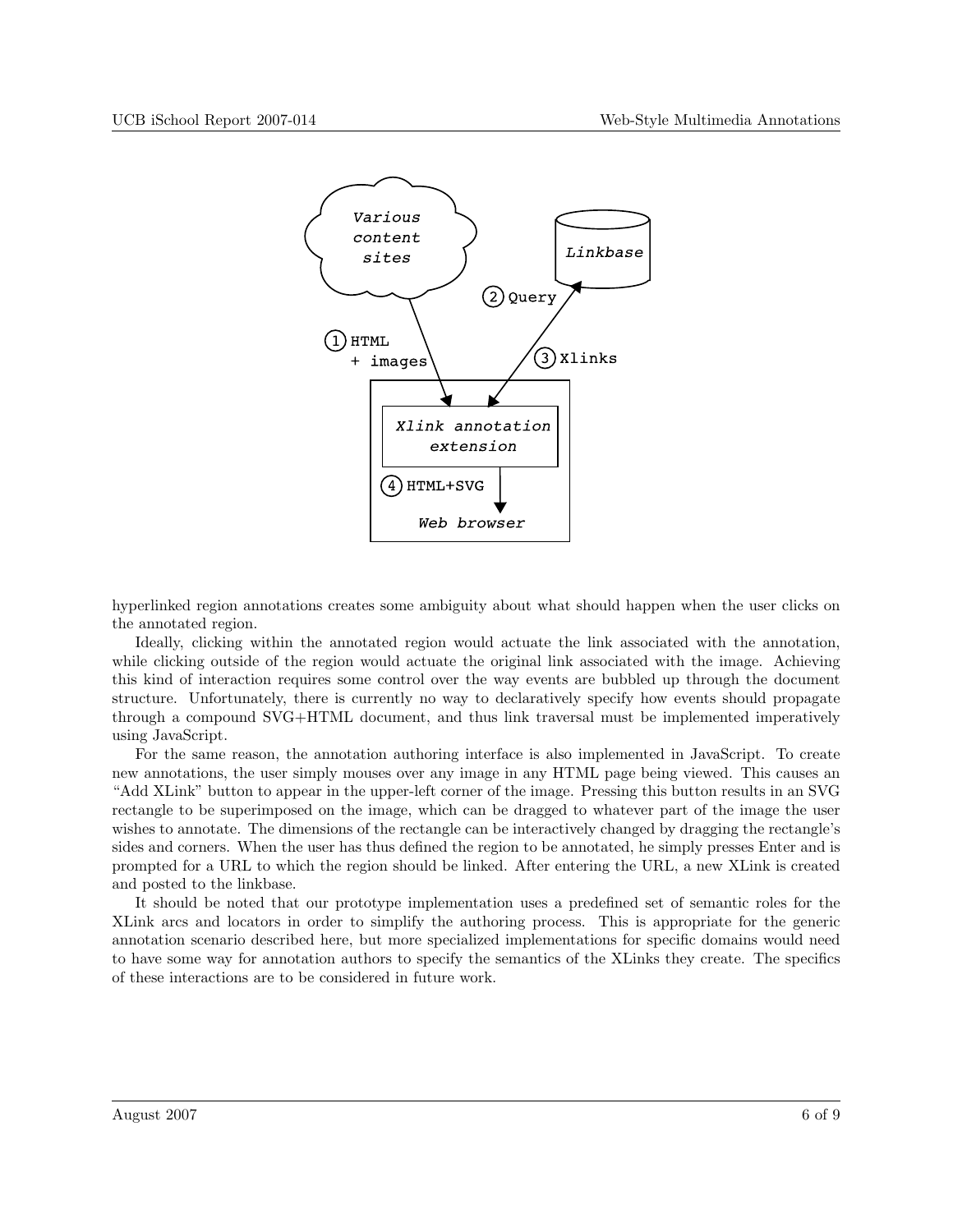

hyperlinked region annotations creates some ambiguity about what should happen when the user clicks on the annotated region.

Ideally, clicking within the annotated region would actuate the link associated with the annotation, while clicking outside of the region would actuate the original link associated with the image. Achieving this kind of interaction requires some control over the way events are bubbled up through the document structure. Unfortunately, there is currently no way to declaratively specify how events should propagate through a compound SVG+HTML document, and thus link traversal must be implemented imperatively using JavaScript.

For the same reason, the annotation authoring interface is also implemented in JavaScript. To create new annotations, the user simply mouses over any image in any HTML page being viewed. This causes an "Add XLink" button to appear in the upper-left corner of the image. Pressing this button results in an SVG rectangle to be superimposed on the image, which can be dragged to whatever part of the image the user wishes to annotate. The dimensions of the rectangle can be interactively changed by dragging the rectangle's sides and corners. When the user has thus defined the region to be annotated, he simply presses Enter and is prompted for a URL to which the region should be linked. After entering the URL, a new XLink is created and posted to the linkbase.

It should be noted that our prototype implementation uses a predefined set of semantic roles for the XLink arcs and locators in order to simplify the authoring process. This is appropriate for the generic annotation scenario described here, but more specialized implementations for specific domains would need to have some way for annotation authors to specify the semantics of the XLinks they create. The specifics of these interactions are to be considered in future work.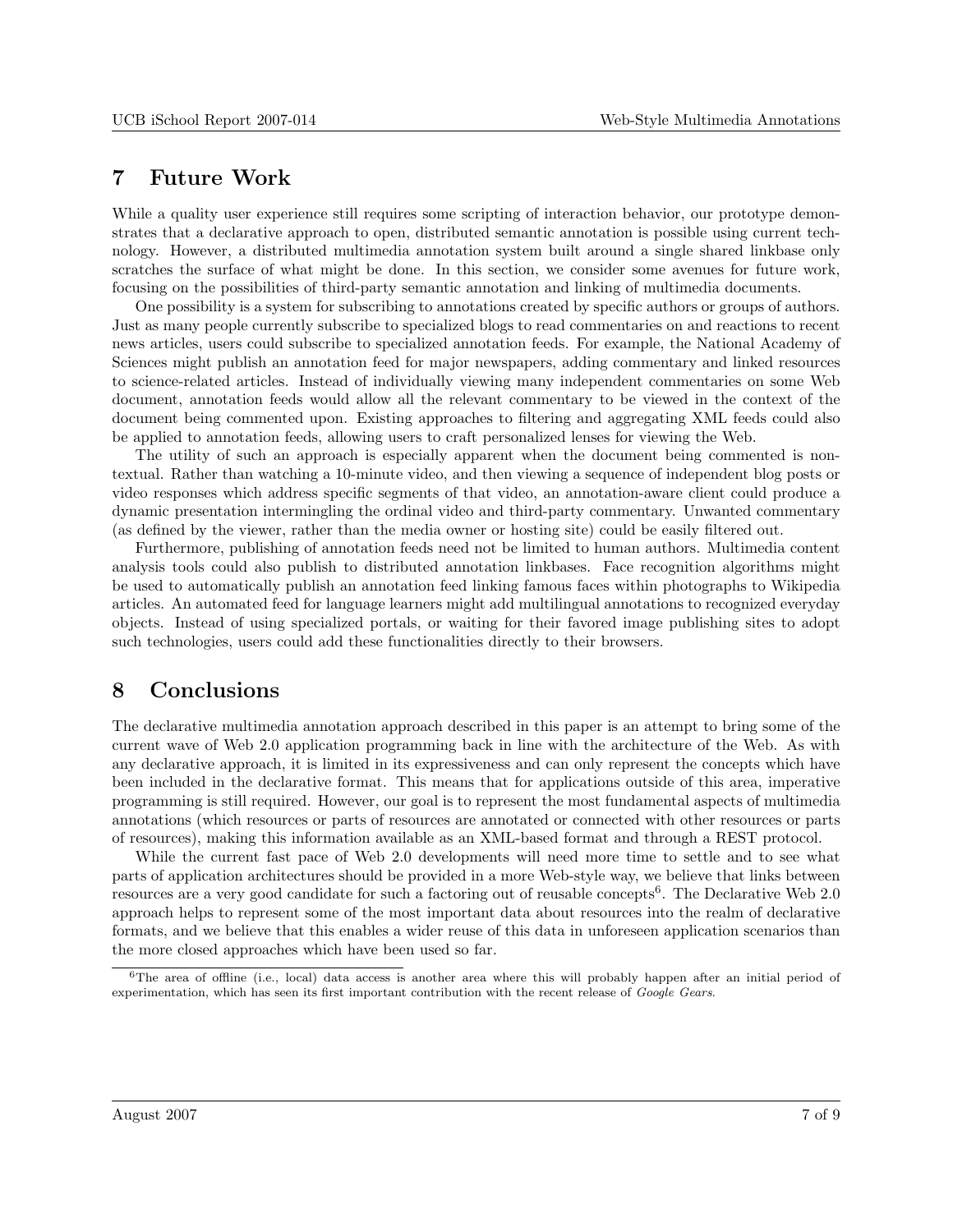#### <span id="page-6-0"></span>7 Future Work

While a quality user experience still requires some scripting of interaction behavior, our prototype demonstrates that a declarative approach to open, distributed semantic annotation is possible using current technology. However, a distributed multimedia annotation system built around a single shared linkbase only scratches the surface of what might be done. In this section, we consider some avenues for future work, focusing on the possibilities of third-party semantic annotation and linking of multimedia documents.

One possibility is a system for subscribing to annotations created by specific authors or groups of authors. Just as many people currently subscribe to specialized blogs to read commentaries on and reactions to recent news articles, users could subscribe to specialized annotation feeds. For example, the National Academy of Sciences might publish an annotation feed for major newspapers, adding commentary and linked resources to science-related articles. Instead of individually viewing many independent commentaries on some Web document, annotation feeds would allow all the relevant commentary to be viewed in the context of the document being commented upon. Existing approaches to filtering and aggregating XML feeds could also be applied to annotation feeds, allowing users to craft personalized lenses for viewing the Web.

The utility of such an approach is especially apparent when the document being commented is nontextual. Rather than watching a 10-minute video, and then viewing a sequence of independent blog posts or video responses which address specific segments of that video, an annotation-aware client could produce a dynamic presentation intermingling the ordinal video and third-party commentary. Unwanted commentary (as defined by the viewer, rather than the media owner or hosting site) could be easily filtered out.

Furthermore, publishing of annotation feeds need not be limited to human authors. Multimedia content analysis tools could also publish to distributed annotation linkbases. Face recognition algorithms might be used to automatically publish an annotation feed linking famous faces within photographs to Wikipedia articles. An automated feed for language learners might add multilingual annotations to recognized everyday objects. Instead of using specialized portals, or waiting for their favored image publishing sites to adopt such technologies, users could add these functionalities directly to their browsers.

#### 8 Conclusions

The declarative multimedia annotation approach described in this paper is an attempt to bring some of the current wave of Web 2.0 application programming back in line with the architecture of the Web. As with any declarative approach, it is limited in its expressiveness and can only represent the concepts which have been included in the declarative format. This means that for applications outside of this area, imperative programming is still required. However, our goal is to represent the most fundamental aspects of multimedia annotations (which resources or parts of resources are annotated or connected with other resources or parts of resources), making this information available as an XML-based format and through a REST protocol.

While the current fast pace of Web 2.0 developments will need more time to settle and to see what parts of application architectures should be provided in a more Web-style way, we believe that links between resources are a very good candidate for such a factoring out of reusable concepts<sup>6</sup>. The Declarative Web 2.0 approach helps to represent some of the most important data about resources into the realm of declarative formats, and we believe that this enables a wider reuse of this data in unforeseen application scenarios than the more closed approaches which have been used so far.

 ${}^{6}$ The area of offline (i.e., local) data access is another area where this will probably happen after an initial period of experimentation, which has seen its first important contribution with the recent release of Google Gears.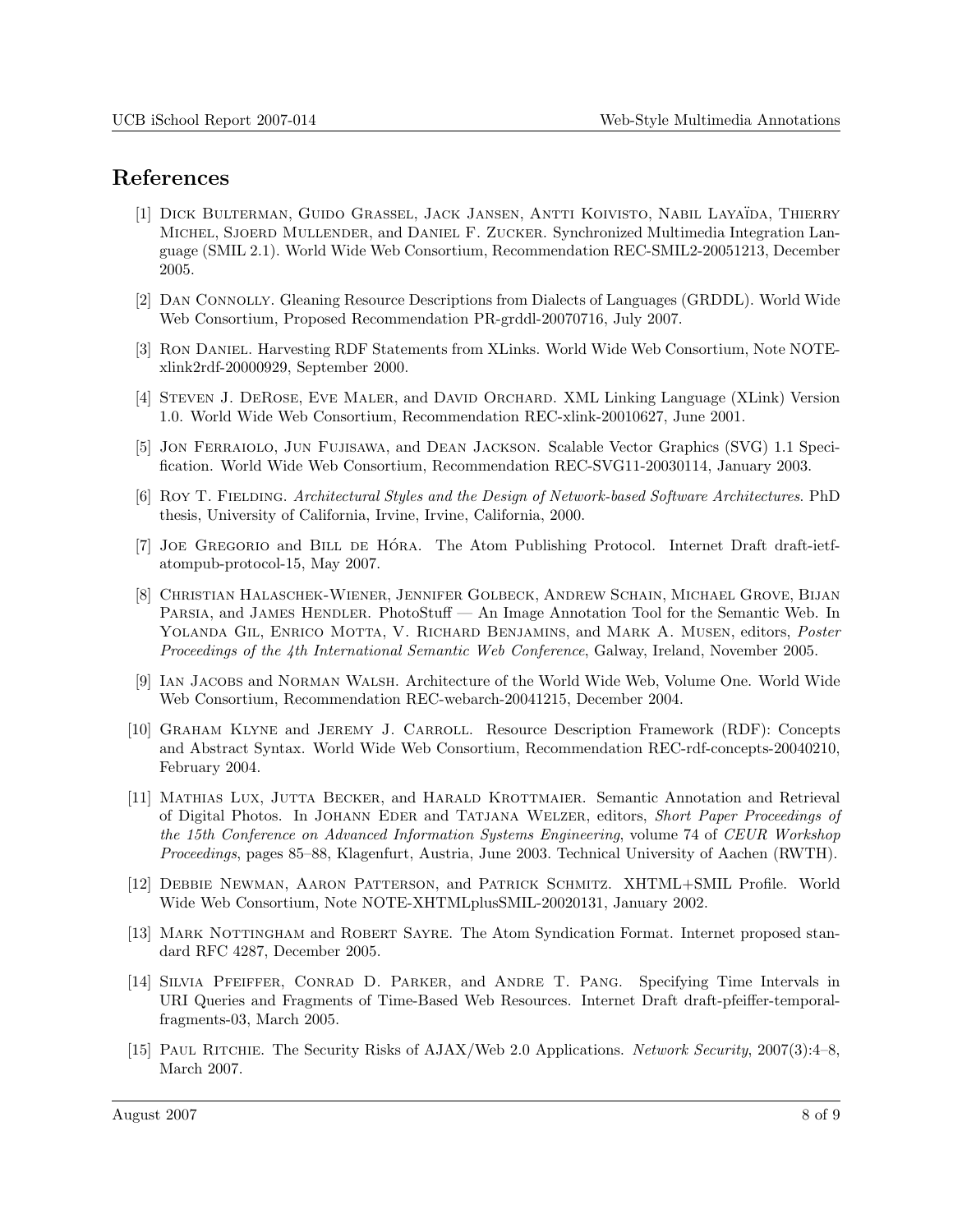## <span id="page-7-0"></span>References

- [1] DICK BULTERMAN, GUIDO GRASSEL, JACK JANSEN, ANTTI KOIVISTO, NABIL LAYAÏDA, THIERRY Michel, Sjoerd Mullender, and Daniel F. Zucker. Synchronized Multimedia Integration Language (SMIL 2.1). World Wide Web Consortium, Recommendation REC-SMIL2-20051213, December 2005.
- [2] Dan Connolly. Gleaning Resource Descriptions from Dialects of Languages (GRDDL). World Wide Web Consortium, Proposed Recommendation PR-grddl-20070716, July 2007.
- [3] Ron Daniel. Harvesting RDF Statements from XLinks. World Wide Web Consortium, Note NOTExlink2rdf-20000929, September 2000.
- [4] Steven J. DeRose, Eve Maler, and David Orchard. XML Linking Language (XLink) Version 1.0. World Wide Web Consortium, Recommendation REC-xlink-20010627, June 2001.
- [5] Jon Ferraiolo, Jun Fujisawa, and Dean Jackson. Scalable Vector Graphics (SVG) 1.1 Specification. World Wide Web Consortium, Recommendation REC-SVG11-20030114, January 2003.
- [6] Roy T. Fielding. Architectural Styles and the Design of Network-based Software Architectures. PhD thesis, University of California, Irvine, Irvine, California, 2000.
- [7] JOE GREGORIO and BILL DE HÓRA. The Atom Publishing Protocol. Internet Draft draft-ietfatompub-protocol-15, May 2007.
- [8] Christian Halaschek-Wiener, Jennifer Golbeck, Andrew Schain, Michael Grove, Bijan PARSIA, and JAMES HENDLER. PhotoStuff — An Image Annotation Tool for the Semantic Web. In YOLANDA GIL, ENRICO MOTTA, V. RICHARD BENJAMINS, and MARK A. MUSEN, editors, Poster Proceedings of the 4th International Semantic Web Conference, Galway, Ireland, November 2005.
- [9] Ian Jacobs and Norman Walsh. Architecture of the World Wide Web, Volume One. World Wide Web Consortium, Recommendation REC-webarch-20041215, December 2004.
- [10] Graham Klyne and Jeremy J. Carroll. Resource Description Framework (RDF): Concepts and Abstract Syntax. World Wide Web Consortium, Recommendation REC-rdf-concepts-20040210, February 2004.
- [11] Mathias Lux, Jutta Becker, and Harald Krottmaier. Semantic Annotation and Retrieval of Digital Photos. In Johann Eder and Tatjana Welzer, editors, Short Paper Proceedings of the 15th Conference on Advanced Information Systems Engineering, volume 74 of CEUR Workshop Proceedings, pages 85–88, Klagenfurt, Austria, June 2003. Technical University of Aachen (RWTH).
- [12] Debbie Newman, Aaron Patterson, and Patrick Schmitz. XHTML+SMIL Profile. World Wide Web Consortium, Note NOTE-XHTMLplusSMIL-20020131, January 2002.
- [13] MARK NOTTINGHAM and ROBERT SAYRE. The Atom Syndication Format. Internet proposed standard RFC 4287, December 2005.
- [14] Silvia Pfeiffer, Conrad D. Parker, and Andre T. Pang. Specifying Time Intervals in URI Queries and Fragments of Time-Based Web Resources. Internet Draft draft-pfeiffer-temporalfragments-03, March 2005.
- [15] Paul Ritchie. The Security Risks of AJAX/Web 2.0 Applications. Network Security, 2007(3):4–8, March 2007.